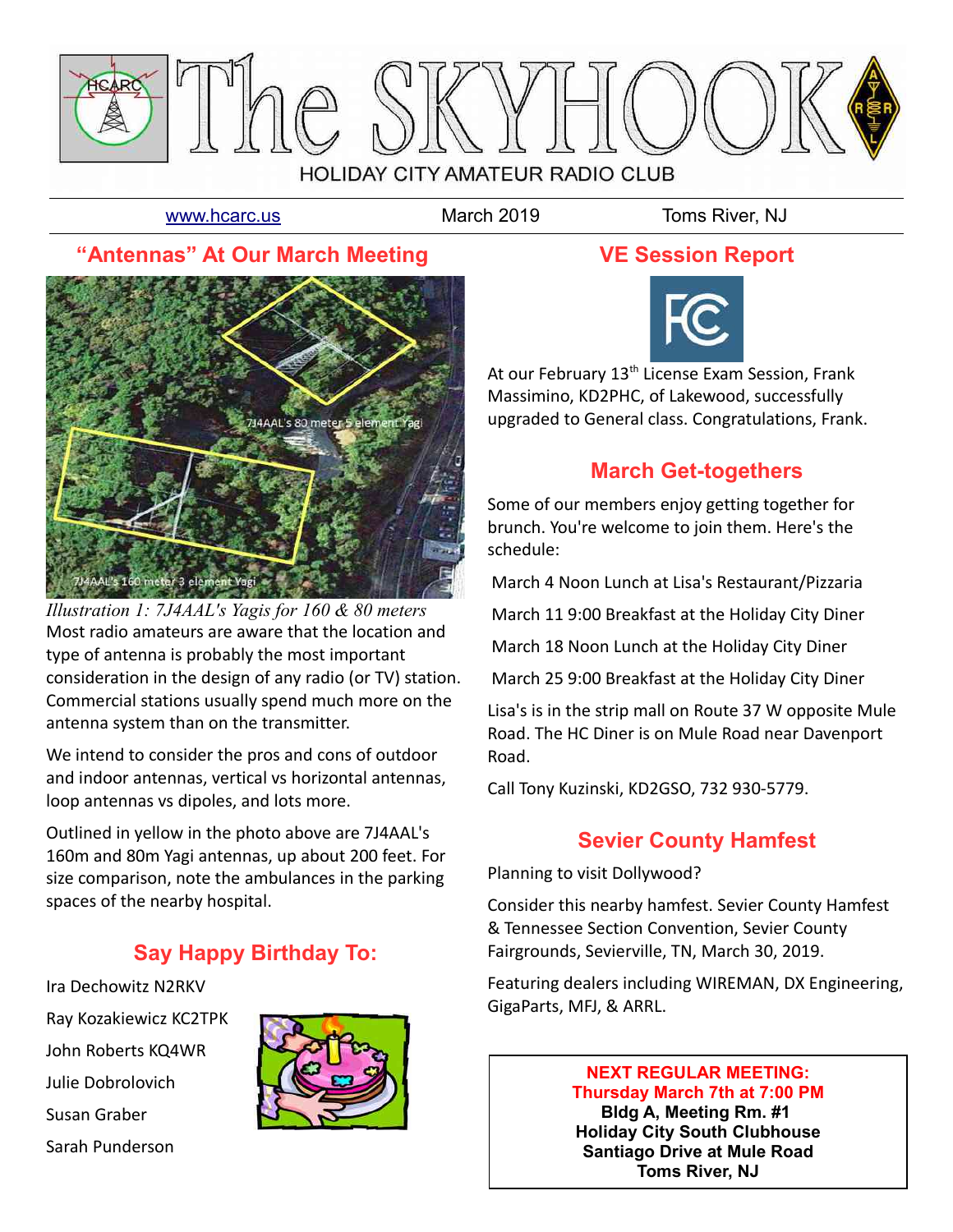

[www.hcarc.us](http://www.hcarc.us/) March 2019 Toms River, NJ

## **"Antennas" At Our March Meeting**



Most radio amateurs are aware that the location and type of antenna is probably the most important consideration in the design of any radio (or TV) station. Commercial stations usually spend much more on the antenna system than on the transmitter. *Illustration 1: 7J4AAL's Yagis for 160 & 80 meters*

We intend to consider the pros and cons of outdoor and indoor antennas, vertical vs horizontal antennas, loop antennas vs dipoles, and lots more.

Outlined in yellow in the photo above are 7J4AAL's 160m and 80m Yagi antennas, up about 200 feet. For size comparison, note the ambulances in the parking spaces of the nearby hospital.

## **Say Happy Birthday To:**

Ira Dechowitz N2RKV Ray Kozakiewicz KC2TPK John Roberts KQ4WR Julie Dobrolovich Susan Graber Sarah Punderson



#### **VE Session Report**



At our February 13<sup>th</sup> License Exam Session, Frank Massimino, KD2PHC, of Lakewood, successfully upgraded to General class. Congratulations, Frank.

## **March Get-togethers**

Some of our members enjoy getting together for brunch. You're welcome to join them. Here's the schedule:

March 4 Noon Lunch at Lisa's Restaurant/Pizzaria

March 11 9:00 Breakfast at the Holiday City Diner

March 18 Noon Lunch at the Holiday City Diner

March 25 9:00 Breakfast at the Holiday City Diner

Lisa's is in the strip mall on Route 37 W opposite Mule Road. The HC Diner is on Mule Road near Davenport Road.

Call Tony Kuzinski, KD2GSO, 732 930-5779.

## **Sevier County Hamfest**

Planning to visit Dollywood?

Consider this nearby hamfest. Sevier County Hamfest & Tennessee Section Convention, Sevier County Fairgrounds, Sevierville, TN, March 30, 2019.

Featuring dealers including WIREMAN, DX Engineering, GigaParts, MFJ, & ARRL.

#### **NEXT REGULAR MEETING: Thursday March 7th at 7:00 PM**

**Bldg A, Meeting Rm. #1 Holiday City South Clubhouse Santiago Drive at Mule Road Toms River, NJ**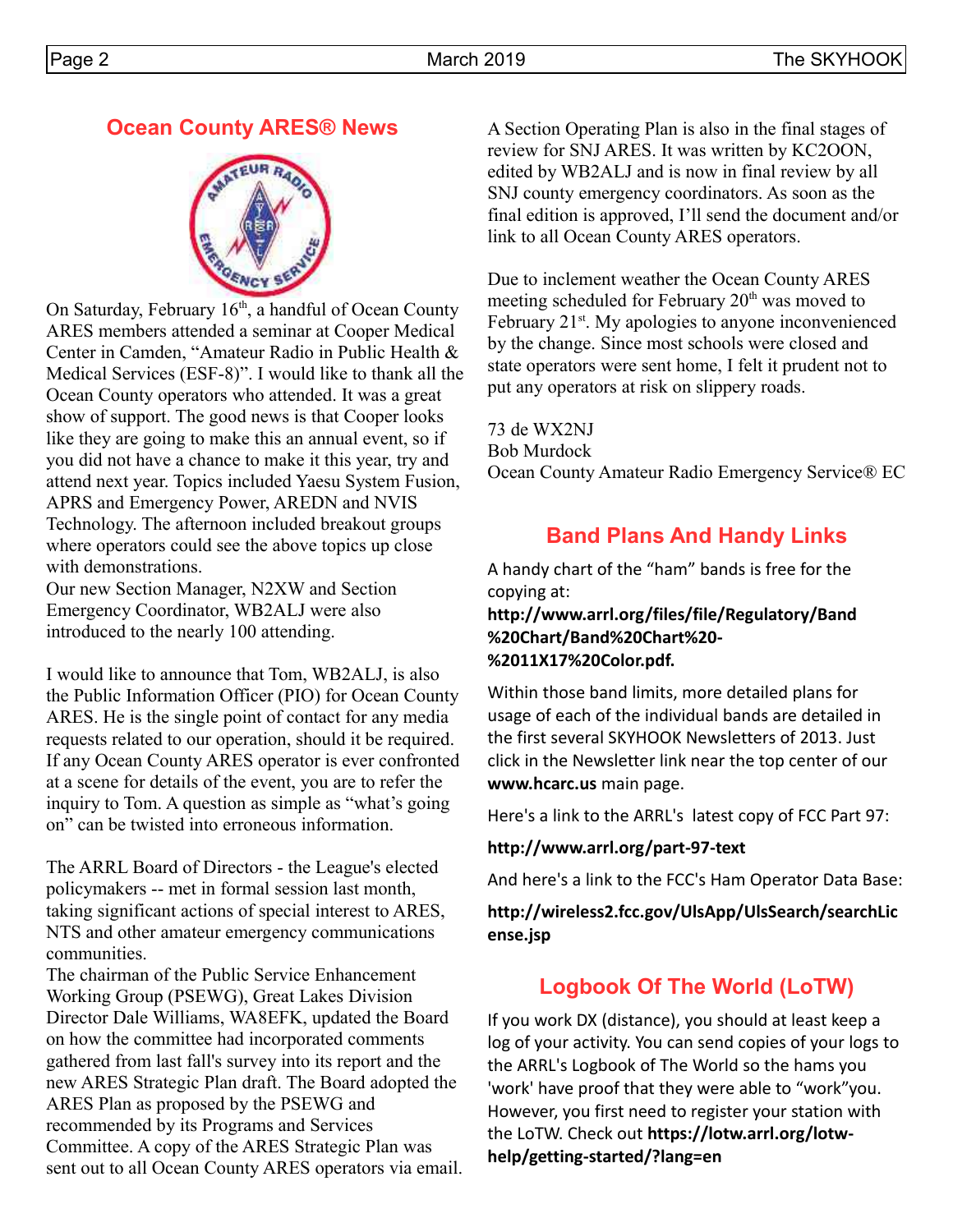#### **Ocean County ARES® News**



On Saturday, February  $16<sup>th</sup>$ , a handful of Ocean County ARES members attended a seminar at Cooper Medical Center in Camden, "Amateur Radio in Public Health & Medical Services (ESF-8)". I would like to thank all the Ocean County operators who attended. It was a great show of support. The good news is that Cooper looks like they are going to make this an annual event, so if you did not have a chance to make it this year, try and attend next year. Topics included Yaesu System Fusion, APRS and Emergency Power, AREDN and NVIS Technology. The afternoon included breakout groups where operators could see the above topics up close with demonstrations.

Our new Section Manager, N2XW and Section Emergency Coordinator, WB2ALJ were also introduced to the nearly 100 attending.

I would like to announce that Tom, WB2ALJ, is also the Public Information Officer (PIO) for Ocean County ARES. He is the single point of contact for any media requests related to our operation, should it be required. If any Ocean County ARES operator is ever confronted at a scene for details of the event, you are to refer the inquiry to Tom. A question as simple as "what's going on" can be twisted into erroneous information.

The ARRL Board of Directors - the League's elected policymakers -- met in formal session last month, taking significant actions of special interest to ARES, NTS and other amateur emergency communications communities.

The chairman of the Public Service Enhancement Working Group (PSEWG), Great Lakes Division Director Dale Williams, WA8EFK, updated the Board on how the committee had incorporated comments gathered from last fall's survey into its report and the new ARES Strategic Plan draft. The Board adopted the ARES Plan as proposed by the PSEWG and recommended by its Programs and Services Committee. A copy of the ARES Strategic Plan was sent out to all Ocean County ARES operators via email. A Section Operating Plan is also in the final stages of review for SNJ ARES. It was written by KC2OON, edited by WB2ALJ and is now in final review by all SNJ county emergency coordinators. As soon as the final edition is approved, I'll send the document and/or link to all Ocean County ARES operators.

Due to inclement weather the Ocean County ARES meeting scheduled for February  $20<sup>th</sup>$  was moved to February 21<sup>st</sup>. My apologies to anyone inconvenienced by the change. Since most schools were closed and state operators were sent home, I felt it prudent not to put any operators at risk on slippery roads.

73 de WX2NJ Bob Murdock Ocean County Amateur Radio Emergency Service® EC

#### **Band Plans And Handy Links**

A handy chart of the "ham" bands is free for the copying at:

**http://www.arrl.org/files/file/Regulatory/Band %20Chart/Band%20Chart%20- %2011X17%20Color.pdf.** 

Within those band limits, more detailed plans for usage of each of the individual bands are detailed in the first several SKYHOOK Newsletters of 2013. Just click in the Newsletter link near the top center of our **www.hcarc.us** main page.

Here's a link to the ARRL's latest copy of FCC Part 97:

**http://www.arrl.org/part-97-text**

And here's a link to the FCC's Ham Operator Data Base:

**http://wireless2.fcc.gov/UlsApp/UlsSearch/searchLic ense.jsp**

## **Logbook Of The World (LoTW)**

If you work DX (distance), you should at least keep a log of your activity. You can send copies of your logs to the ARRL's Logbook of The World so the hams you 'work' have proof that they were able to "work"you. However, you first need to register your station with the LoTW. Check out **https://lotw.arrl.org/lotwhelp/getting-started/?lang=en**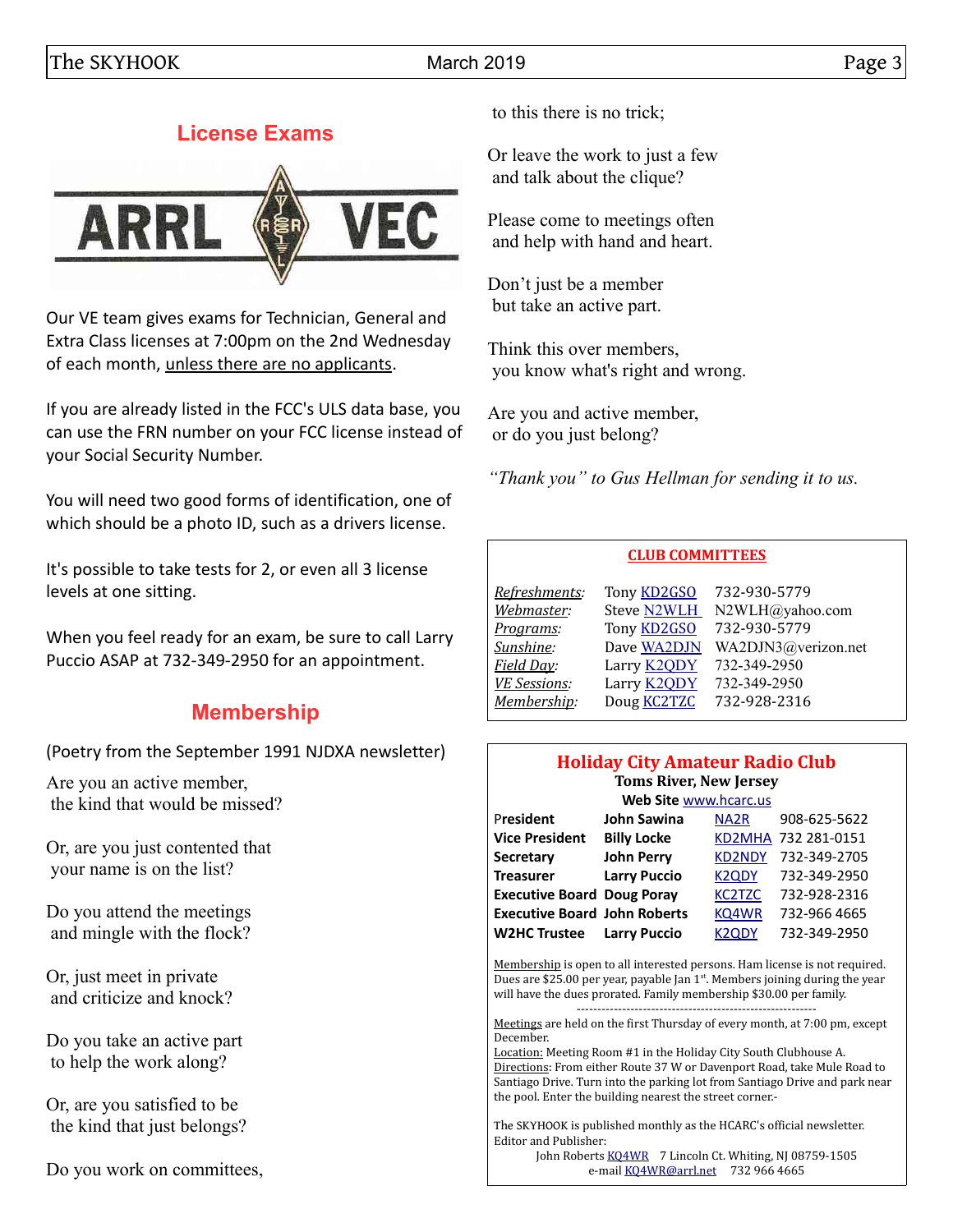## **License Exams**



Our VE team gives exams for Technician, General and Extra Class licenses at 7:00pm on the 2nd Wednesday of each month, unless there are no applicants.

If you are already listed in the FCC's ULS data base, you can use the FRN number on your FCC license instead of your Social Security Number.

You will need two good forms of identification, one of which should be a photo ID, such as a drivers license.

It's possible to take tests for 2, or even all 3 license levels at one sitting.

When you feel ready for an exam, be sure to call Larry Puccio ASAP at 732-349-2950 for an appointment.

#### **Membership**

(Poetry from the September 1991 NJDXA newsletter)

Are you an active member, the kind that would be missed?

Or, are you just contented that your name is on the list?

Do you attend the meetings and mingle with the flock?

Or, just meet in private and criticize and knock?

Do you take an active part to help the work along?

Or, are you satisfied to be the kind that just belongs?

Do you work on committees,

to this there is no trick;

Or leave the work to just a few and talk about the clique?

Please come to meetings often and help with hand and heart.

Don't just be a member but take an active part.

Think this over members, you know what's right and wrong.

Are you and active member, or do you just belong?

*"Thank you" to Gus Hellman for sending it to us.*

#### **CLUB COMMITTEES**

| Refreshments:       | Tony <b>KD2GSO</b> | 732-930-5779        |
|---------------------|--------------------|---------------------|
| Webmaster:          | <b>Steve N2WLH</b> | N2WLH@yahoo.com     |
| Programs:           | Tony <b>KD2GSO</b> | 732-930-5779        |
| Sunshine:           | Dave WA2DJN        | WA2DJN3@verizon.net |
| Field Day:          | Larry <b>K2QDY</b> | 732-349-2950        |
| <b>VE Sessions:</b> | Larry <b>K2QDY</b> | 732-349-2950        |
| Membership:         | Doug <b>KC2TZC</b> | 732-928-2316        |
|                     |                    |                     |

#### **Holiday City Amateur Radio Club Toms River, New Jersey**

|                                     | Web Site www.hcarc.us |                    |                     |  |  |  |  |  |  |
|-------------------------------------|-----------------------|--------------------|---------------------|--|--|--|--|--|--|
| President                           | <b>John Sawina</b>    | NA <sub>2</sub> R  | 908-625-5622        |  |  |  |  |  |  |
| <b>Vice President</b>               | <b>Billy Locke</b>    |                    | KD2MHA 732 281-0151 |  |  |  |  |  |  |
| <b>Secretary</b>                    | <b>John Perry</b>     | <b>KD2NDY</b>      | 732-349-2705        |  |  |  |  |  |  |
| <b>Treasurer</b>                    | <b>Larry Puccio</b>   | <b>K2QDY</b>       | 732-349-2950        |  |  |  |  |  |  |
| <b>Executive Board Doug Poray</b>   |                       | <b>KC2TZC</b>      | 732-928-2316        |  |  |  |  |  |  |
| <b>Executive Board John Roberts</b> |                       | KQ4WR              | 732-966 4665        |  |  |  |  |  |  |
| <b>W2HC Trustee</b>                 | <b>Larry Puccio</b>   | K <sub>2</sub> ODY | 732-349-2950        |  |  |  |  |  |  |

Membership is open to all interested persons. Ham license is not required. Dues are \$25.00 per year, payable Jan  $1<sup>st</sup>$ . Members joining during the year will have the dues prorated. Family membership \$30.00 per family. ----------------------------------------------------------

Meetings are held on the first Thursday of every month, at 7:00 pm, except December.

Location: Meeting Room #1 in the Holiday City South Clubhouse A. Directions: From either Route 37 W or Davenport Road, take Mule Road to Santiago Drive. Turn into the parking lot from Santiago Drive and park near the pool. Enter the building nearest the street corner.-

The SKYHOOK is published monthly as the HCARC's official newsletter. Editor and Publisher:

John Roberts [KQ4WR](mailto:kq4wr@arrl.net) 7 Lincoln Ct. Whiting, NJ 08759-1505 e-mail [KQ4WR@arrl.net](mailto:KQ4WR@arrl.net) 732 966 4665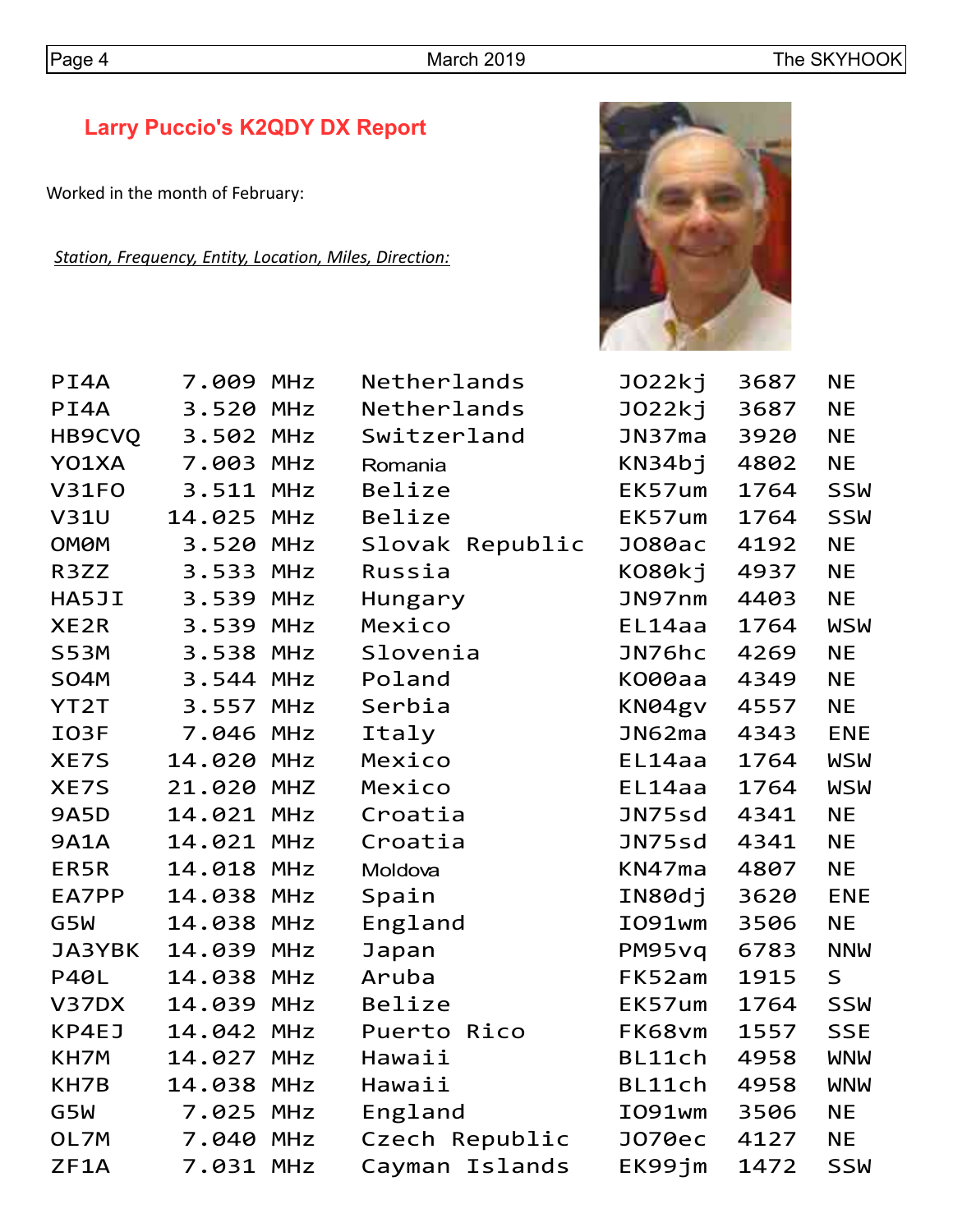# **Larry Puccio's K2QDY DX Report**

Worked in the month of February:

*Station, Frequency, Entity, Location, Miles, Direction:*



| PI4A        | 7.009 MHz  |            | Netherlands     | JO22kj | 3687 | <b>NE</b>  |
|-------------|------------|------------|-----------------|--------|------|------------|
| PI4A        | 3.520      | <b>MHz</b> | Netherlands     | JO22kj | 3687 | <b>NE</b>  |
| HB9CVQ      | 3.502 MHz  |            | Switzerland     | JN37ma | 3920 | <b>NE</b>  |
| Y01XA       | 7.003      | MHz        | Romania         | KN34bj | 4802 | <b>NE</b>  |
| V31FO       | 3.511 MHz  |            | Belize          | EK57um | 1764 | <b>SSW</b> |
| <b>V31U</b> | 14.025 MHz |            | Belize          | EK57um | 1764 | <b>SSW</b> |
| <b>OMØM</b> | 3.520 MHz  |            | Slovak Republic | J080ac | 4192 | <b>NE</b>  |
| R3ZZ        | 3.533 MHz  |            | Russia          | KO80kj | 4937 | <b>NE</b>  |
| HA5JI       | 3.539 MHz  |            | Hungary         | JN97nm | 4403 | <b>NE</b>  |
| XE2R        | 3.539      | MHz        | Mexico          | EL14aa | 1764 | <b>WSW</b> |
| <b>S53M</b> | 3.538 MHz  |            | Slovenia        | JN76hc | 4269 | <b>NE</b>  |
| <b>SO4M</b> | 3.544 MHz  |            | Poland          | K000aa | 4349 | <b>NE</b>  |
| YT2T        | 3.557      | MHz        | Serbia          | KN04gv | 4557 | <b>NE</b>  |
| IO3F        | 7.046 MHz  |            | Italy           | JN62ma | 4343 | <b>ENE</b> |
| XE7S        | 14.020 MHz |            | Mexico          | EL14aa | 1764 | <b>WSW</b> |
| XE7S        | 21.020 MHZ |            | Mexico          | EL14aa | 1764 | <b>WSW</b> |
| <b>9A5D</b> | 14.021 MHz |            | Croatia         | JN75sd | 4341 | <b>NE</b>  |
| <b>9A1A</b> | 14.021 MHz |            | Croatia         | JN75sd | 4341 | <b>NE</b>  |
| ER5R        | 14.018 MHz |            | Moldova         | KN47ma | 4807 | <b>NE</b>  |
| EA7PP       | 14.038 MHz |            | Spain           | IN80dj | 3620 | <b>ENE</b> |
| G5W         | 14.038 MHz |            | England         | I091wm | 3506 | <b>NE</b>  |
| JA3YBK      | 14.039     | <b>MHz</b> | Japan           | PM95vq | 6783 | <b>NNW</b> |
| <b>P40L</b> | 14.038 MHz |            | Aruba           | FK52am | 1915 | S          |
| V37DX       | 14.039     | MHz        | Belize          | EK57um | 1764 | <b>SSW</b> |
| KP4EJ       | 14.042 MHz |            | Puerto Rico     | FK68vm | 1557 | <b>SSE</b> |
| KH7M        | 14.027     | <b>MHz</b> | Hawaii          | BL11ch | 4958 | <b>WNW</b> |
| KH7B        | 14.038 MHz |            | Hawaii          | BL11ch | 4958 | <b>WNW</b> |
| G5W         | 7.025      | MHz        | England         | I091wm | 3506 | <b>NE</b>  |
| OL7M        | 7.040 MHz  |            | Czech Republic  | J070ec | 4127 | <b>NE</b>  |
| ZF1A        | 7.031 MHz  |            | Cayman Islands  | EK99jm | 1472 | <b>SSW</b> |
|             |            |            |                 |        |      |            |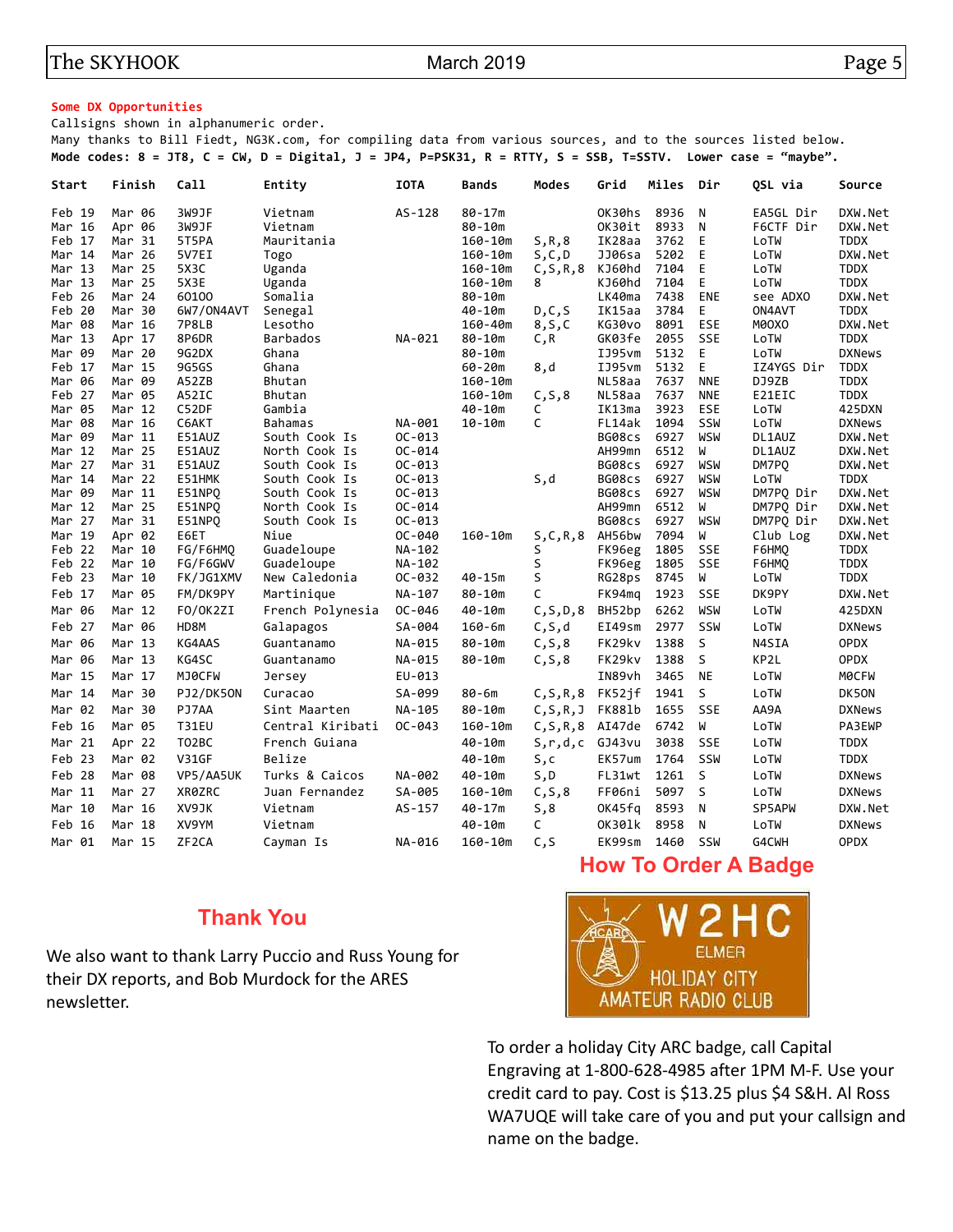#### **Some DX Opportunities**

Callsigns shown in alphanumeric order.

Many thanks to Bill Fiedt, NG3K.com, for compiling data from various sources, and to the sources listed below. **Mode codes: 8 = JT8, C = CW, D = Digital, J = JP4, P=PSK31, R = RTTY, S = SSB, T=SSTV. Lower case = "maybe".**

| Start            | Finish           | Call               | Entity           | <b>IOTA</b> | <b>Bands</b>          | Modes      | Grid             | Miles        | Dir        | OSL via             | Source                     |
|------------------|------------------|--------------------|------------------|-------------|-----------------------|------------|------------------|--------------|------------|---------------------|----------------------------|
| Feb 19           | Mar 06           | 3W9JF              | Vietnam          | $AS-128$    | $80 - 17m$            |            | OK30hs           | 8936         | N          | EA5GL Dir           | DXW.Net                    |
| Mar 16           | Apr 06           | 3W9JF              | Vietnam          |             | $80 - 10m$            |            | OK30it           | 8933         | N          | F6CTF Dir           | DXW.Net                    |
| Feb 17           | Mar 31           | 5T5PA              | Mauritania       |             | 160-10m               | S, R, 8    | IK28aa           | 3762         | E          | LoTW                | <b>TDDX</b>                |
| Mar 14           | Mar 26           | 5V7EI              | Togo             |             | 160-10m               | S, C, D    | JJ06sa           | 5202         | E          | LoTW                | DXW.Net                    |
| Mar 13           | Mar 25           | 5X3C               | Uganda           |             | 160-10m               | C, S, R, 8 | KJ60hd           | 7104         | E          | LoTW                | <b>TDDX</b>                |
| Mar 13           | Mar 25           | 5X3E               | Uganda           |             | 160-10m               | 8          | KJ60hd           | 7104         | E          | LoTW                | <b>TDDX</b>                |
| Feb 26           | Mar 24           | 60100              | Somalia          |             | $80 - 10m$            |            | LK40ma           | 7438         | <b>ENE</b> | see ADXO            | DXW.Net                    |
| Feb 20           | Mar 30           | 6W7/ON4AVT         | Senegal          |             | 40-10m                | D, C, S    | IK15aa           | 3784         | E          | ON4AVT              | <b>TDDX</b>                |
| Mar 08           | Mar 16           | 7P8LB              | Lesotho          |             | 160-40m               | 8, S, C    | KG30vo           | 8091         | <b>ESE</b> | M0OXO               | DXW.Net                    |
| Mar 13           | Apr 17           | 8P6DR              | <b>Barbados</b>  | NA-021      | 80-10m                | C,R        | GK03fe           | 2055         | <b>SSE</b> | LoTW                | <b>TDDX</b>                |
| Mar 09           | Mar 20           | 9G2DX              | Ghana            |             | $80 - 10m$            |            | IJ95vm           | 5132         | E<br>E     | LoTW                | <b>DXNews</b>              |
| Feb 17<br>Mar 06 | Mar 15<br>Mar 09 | 9G5GS<br>A52ZB     | Ghana<br>Bhutan  |             | $60 - 20m$<br>160-10m | 8,d        | IJ95vm<br>NL58aa | 5132<br>7637 | <b>NNE</b> | IZ4YGS Dir<br>DJ9ZB | <b>TDDX</b><br><b>TDDX</b> |
| Feb 27           | Mar 05           | A52IC              | Bhutan           |             | 160-10m               | C, S, 8    | NL58aa           | 7637         | <b>NNE</b> | E21EIC              | <b>TDDX</b>                |
| Mar 05           | Mar 12           | C52DF              | Gambia           |             | 40-10m                | c          | IK13ma           | 3923         | ESE        | LoTW                | 425DXN                     |
| Mar 08           | Mar 16           | C6AKT              | <b>Bahamas</b>   | NA-001      | $10 - 10m$            | C          | FL14ak           | 1094         | SSW        | LoTW                | <b>DXNews</b>              |
| Mar 09           | Mar 11           | E51AUZ             | South Cook Is    | $OC-013$    |                       |            | BG08cs           | 6927         | <b>WSW</b> | DL1AUZ              | DXW.Net                    |
| Mar 12           | Mar 25           | E51AUZ             | North Cook Is    | $OC - 014$  |                       |            | AH99mn           | 6512         | W          | DL1AUZ              | DXW.Net                    |
| Mar 27           | Mar 31           | E51AUZ             | South Cook Is    | $OC-013$    |                       |            | BG08cs           | 6927         | <b>WSW</b> | DM7PQ               | DXW.Net                    |
| Mar 14           | Mar 22           | E51HMK             | South Cook Is    | $OC-013$    |                       | S,d        | BG08cs           | 6927         | <b>WSW</b> | LoTW                | <b>TDDX</b>                |
| Mar 09           | Mar 11           | E51NPQ             | South Cook Is    | $OC-013$    |                       |            | BG08cs           | 6927         | WSW        | DM7PQ Dir           | DXW.Net                    |
| Mar 12           | Mar 25           | E51NPQ             | North Cook Is    | $OC - 014$  |                       |            | AH99mn           | 6512         | W          | DM7PO Dir           | DXW.Net                    |
| Mar 27           | Mar 31           | E51NPQ             | South Cook Is    | $OC-013$    |                       |            | BG08cs           | 6927         | WSW        | DM7PQ Dir           | DXW.Net                    |
| Mar 19           | Apr 02           | E6ET               | Niue             | OC-040      | 160-10m               | S,C,R,8    | AH56bw           | 7094         | W          | Club Log            | DXW.Net                    |
| Feb 22           | Mar 10           | FG/F6HMO           | Guadeloupe       | NA-102      |                       | S          | FK96eg           | 1805         | SSE        | F6HMO               | <b>TDDX</b>                |
| Feb 22           | Mar 10           | FG/F6GWV           | Guadeloupe       | NA-102      |                       | S          | FK96eg           | 1805         | SSE        | F6HMQ               | <b>TDDX</b>                |
| Feb 23           | Mar 10           | FK/JG1XMV          | New Caledonia    | OC-032      | $40 - 15m$            | S          | RG28ps           | 8745         | W          | LoTW                | <b>TDDX</b>                |
| Feb 17           | Mar 05           | FM/DK9PY           | Martinique       | NA-107      | $80 - 10m$            | C          | FK94mg           | 1923         | <b>SSE</b> | DK9PY               | DXW.Net                    |
| Mar 06           | Mar 12           | FO/OK2ZI           | French Polynesia | OC-046      | $40 - 10m$            | C, S, D, 8 | BH52bp           | 6262         | WSW        | LoTW                | 425DXN                     |
| Feb 27           | Mar 06           | HD8M               | Galapagos        | SA-004      | 160-6m                | C, S, d    | EI49sm           | 2977         | SSW        | LoTW                | <b>DXNews</b>              |
| Mar 06           | Mar 13           | KG4AAS             | Guantanamo       | NA-015      | 80-10m                | C, S, 8    | FK29kv           | 1388         | S          | N4SIA               | <b>OPDX</b>                |
| Mar 06           | Mar 13           | KG4SC              | Guantanamo       | NA-015      | $80 - 10m$            | C, S, 8    | FK29kv           | 1388         | S          | KP2L                | <b>OPDX</b>                |
| Mar 15           | Mar 17           | MJ0CFW             | Jersey           | EU-013      |                       |            | IN89vh           | 3465         | <b>NE</b>  | LoTW                | MOCFW                      |
| Mar 14           | Mar 30           | PJ2/DK50N          | Curacao          | SA-099      | 80-6m                 | C, S, R, 8 | FK52jf           | 1941         | S          | LoTW                | DK50N                      |
| Mar 02           | Mar 30           | PJ7AA              | Sint Maarten     | NA-105      | $80 - 10m$            | C, S, R, J | FK881b           | 1655         | SSE        | AA9A                | <b>DXNews</b>              |
| Feb 16           | Mar 05           | <b>T31EU</b>       | Central Kiribati | $OC - 043$  | 160-10m               | C, S, R, 8 | AI47de           | 6742         | W          | LoTW                | PA3EWP                     |
| Mar 21           | Apr 22           | T02BC              | French Guiana    |             | 40-10m                | S, r, d, c | GJ43vu           | 3038         | SSE        | LoTW                | <b>TDDX</b>                |
| Feb 23           | Mar 02           | <b>V31GF</b>       | Belize           |             | 40-10m                | S,c        | EK57um           | 1764         | SSW        | LoTW                | <b>TDDX</b>                |
| Feb 28           | Mar 08           | VP5/AA5UK          | Turks & Caicos   | NA-002      | 40-10m                | S,D        | FL31wt           | 1261         | S          | LoTW                | <b>DXNews</b>              |
| Mar 11           | Mar 27           | XR0ZRC             | Juan Fernandez   | SA-005      | 160-10m               | C, S, 8    | FF06ni           | 5097         | S          | LoTW                | <b>DXNews</b>              |
| Mar 10           | Mar 16           | XV9JK              | Vietnam          | AS-157      | 40-17m                | 5,8        | OK45fg           | 8593         | N          | SP5APW              | DXW.Net                    |
| Feb 16           | Mar 18           | XV9YM              | Vietnam          |             | $40 - 10m$            | C          | 0K301k           | 8958         | N          | LoTW                | <b>DXNews</b>              |
| Mar 01           | Mar 15           | ZF <sub>2</sub> CA | Cayman Is        | NA-016      | 160-10m               | C, S       | EK99sm           | 1460         | SSW        | G4CWH               | <b>OPDX</b>                |

## **Thank You**

We also want to thank Larry Puccio and Russ Young for their DX reports, and Bob Murdock for the ARES newsletter.



**How To Order A Badge**

To order a holiday City ARC badge, call Capital Engraving at 1-800-628-4985 after 1PM M-F. Use your credit card to pay. Cost is \$13.25 plus \$4 S&H. Al Ross WA7UQE will take care of you and put your callsign and name on the badge.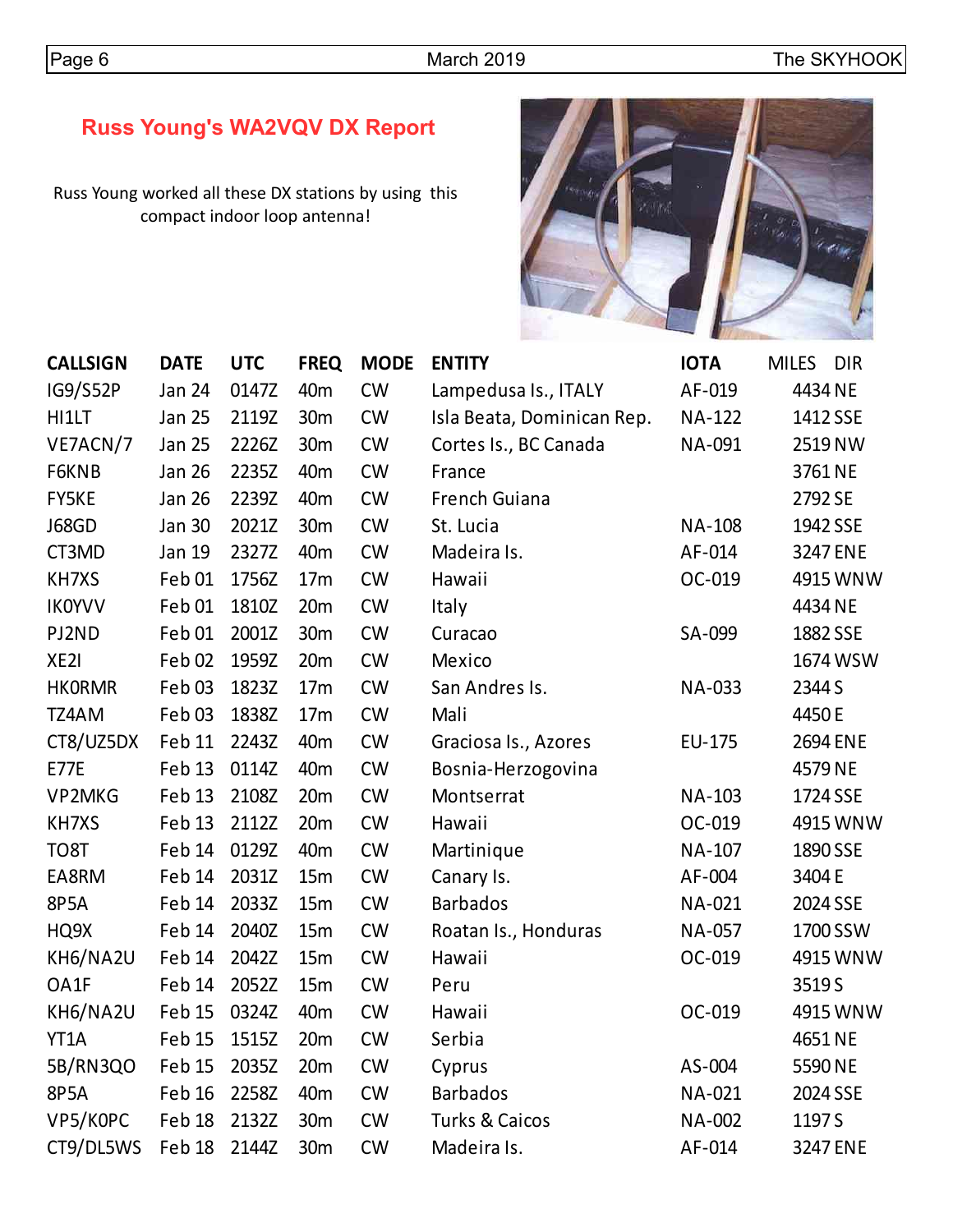# **Russ Young's WA2VQV DX Report**

Russ Young worked all these DX stations by using this compact indoor loop antenna!



| <b>CALLSIGN</b> | <b>DATE</b>       | <b>UTC</b> | <b>FREQ</b>     | <b>MODE</b> | <b>ENTITY</b>              | <b>IOTA</b>   | <b>DIR</b><br><b>MILES</b> |
|-----------------|-------------------|------------|-----------------|-------------|----------------------------|---------------|----------------------------|
| IG9/S52P        | <b>Jan 24</b>     | 0147Z      | 40 <sub>m</sub> | <b>CW</b>   | Lampedusa Is., ITALY       | AF-019        | 4434 NE                    |
| HI1LT           | <b>Jan 25</b>     | 2119Z      | 30 <sub>m</sub> | <b>CW</b>   | Isla Beata, Dominican Rep. | <b>NA-122</b> | 1412 SSE                   |
| VE7ACN/7        | <b>Jan 25</b>     | 2226Z      | 30 <sub>m</sub> | <b>CW</b>   | Cortes Is., BC Canada      | NA-091        | 2519 NW                    |
| F6KNB           | <b>Jan 26</b>     | 2235Z      | 40 <sub>m</sub> | <b>CW</b>   | France                     |               | 3761 NE                    |
| FY5KE           | <b>Jan 26</b>     | 2239Z      | 40 <sub>m</sub> | <b>CW</b>   | <b>French Guiana</b>       |               | 2792 SE                    |
| <b>J68GD</b>    | <b>Jan 30</b>     | 2021Z      | 30m             | <b>CW</b>   | St. Lucia                  | <b>NA-108</b> | 1942 SSE                   |
| CT3MD           | Jan 19            | 2327Z      | 40 <sub>m</sub> | <b>CW</b>   | Madeira Is.                | AF-014        | 3247 ENE                   |
| KH7XS           | Feb 01            | 1756Z      | 17 <sub>m</sub> | <b>CW</b>   | Hawaii                     | OC-019        | 4915 WNW                   |
| <b>IKOYVV</b>   | Feb 01            | 1810Z      | 20m             | <b>CW</b>   | Italy                      |               | 4434 NE                    |
| PJ2ND           | Feb <sub>01</sub> | 2001Z      | 30m             | <b>CW</b>   | Curacao                    | SA-099        | 1882 SSE                   |
| XE2I            | Feb <sub>02</sub> | 1959Z      | 20m             | <b>CW</b>   | Mexico                     |               | 1674 WSW                   |
| <b>HKORMR</b>   | Feb03             | 1823Z      | 17m             | <b>CW</b>   | San Andres Is.             | NA-033        | 2344 S                     |
| TZ4AM           | Feb03             | 1838Z      | 17 <sub>m</sub> | <b>CW</b>   | Mali                       |               | 4450E                      |
| CT8/UZ5DX       | Feb 11            | 2243Z      | 40 <sub>m</sub> | <b>CW</b>   | Graciosa Is., Azores       | EU-175        | 2694 ENE                   |
| <b>E77E</b>     | Feb 13            | 0114Z      | 40 <sub>m</sub> | <b>CW</b>   | Bosnia-Herzogovina         |               | 4579 NE                    |
| VP2MKG          | Feb 13            | 2108Z      | 20m             | <b>CW</b>   | Montserrat                 | NA-103        | 1724 SSE                   |
| KH7XS           | Feb 13            | 2112Z      | 20m             | <b>CW</b>   | Hawaii                     | OC-019        | 4915 WNW                   |
| TO8T            | Feb 14            | 0129Z      | 40 <sub>m</sub> | <b>CW</b>   | Martinique                 | NA-107        | 1890 SSE                   |
| EA8RM           | Feb 14            | 2031Z      | 15m             | <b>CW</b>   | Canary Is.                 | AF-004        | 3404 E                     |
| 8P5A            | Feb 14            | 2033Z      | 15m             | CW          | <b>Barbados</b>            | NA-021        | 2024 SSE                   |
| HQ9X            | Feb 14            | 2040Z      | 15m             | <b>CW</b>   | Roatan Is., Honduras       | NA-057        | 1700 SSW                   |
| KH6/NA2U        | Feb 14            | 2042Z      | 15m             | CW          | Hawaii                     | OC-019        | 4915 WNW                   |
| OA1F            | Feb 14            | 2052Z      | 15m             | <b>CW</b>   | Peru                       |               | 3519 S                     |
| KH6/NA2U        | Feb 15            | 0324Z      | 40 <sub>m</sub> | <b>CW</b>   | Hawaii                     | OC-019        | 4915 WNW                   |
| YT1A            | Feb 15            | 1515Z      | 20m             | <b>CW</b>   | Serbia                     |               | 4651 NE                    |
| 5B/RN3QO        | Feb 15            | 2035Z      | 20m             | <b>CW</b>   | Cyprus                     | AS-004        | 5590 NE                    |
| <b>8P5A</b>     | Feb 16            | 2258Z      | 40 <sub>m</sub> | <b>CW</b>   | <b>Barbados</b>            | NA-021        | 2024 SSE                   |
| VP5/KOPC        | Feb 18            | 2132Z      | 30m             | <b>CW</b>   | <b>Turks &amp; Caicos</b>  | <b>NA-002</b> | 1197 S                     |
| CT9/DL5WS       | Feb 18            | 2144Z      | 30m             | <b>CW</b>   | Madeira Is.                | AF-014        | 3247 ENE                   |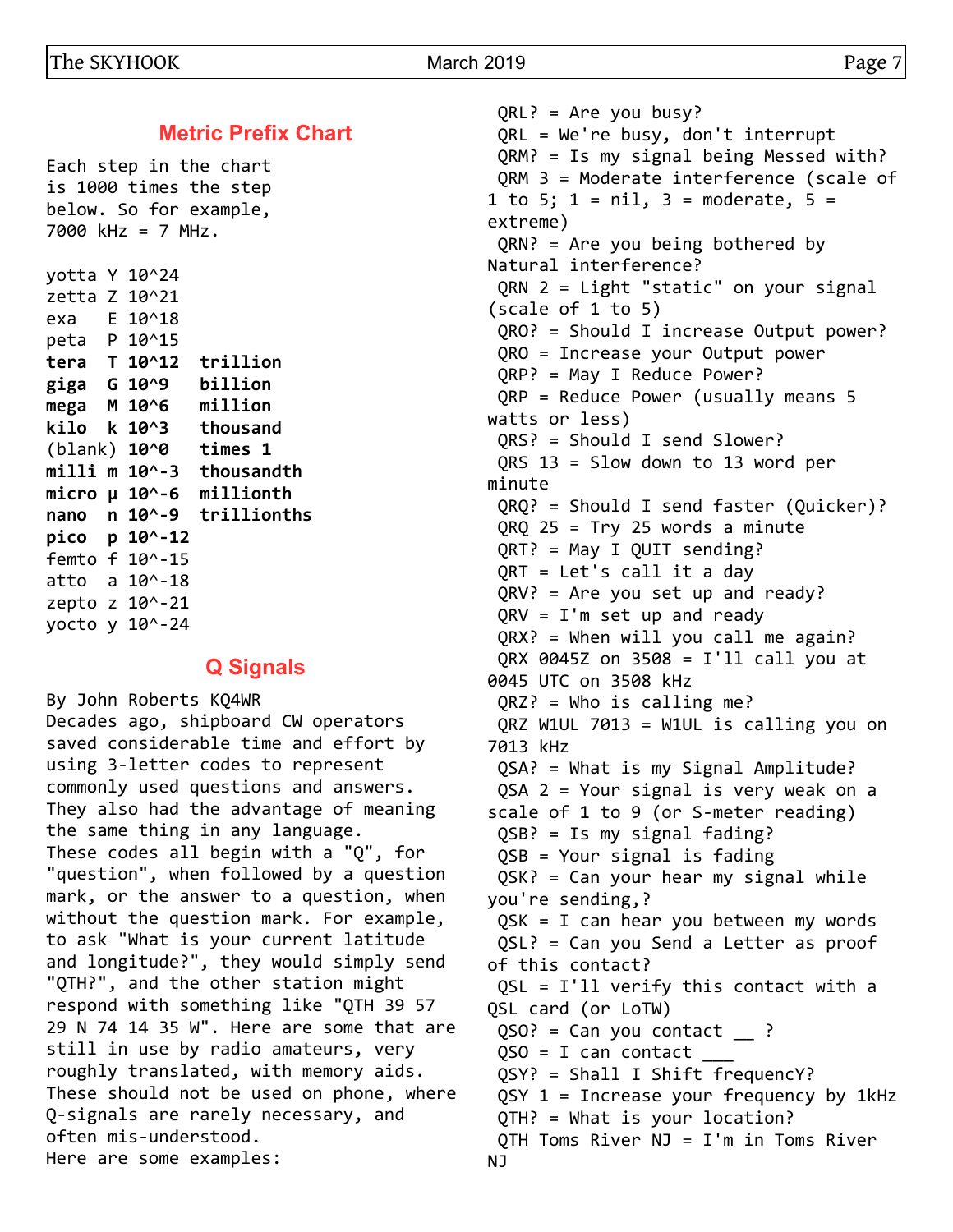**Metric Prefix Chart**

Each step in the chart is 1000 times the step below. So for example, 7000 kHz = 7 MHz.

yotta Y 10^24 zetta Z 10^21 exa E 10^18 peta P 10^15 **tera T 10^12 trillion giga G 10^9 billion mega M 10^6 million kilo k 10^3 thousand** (blank) **10^0 times 1 milli m 10^-3 thousandth micro µ 10^-6 millionth nano n 10^-9 trillionths pico p 10^-12** femto f 10^-15 atto a 10^-18 zepto z 10^-21 yocto y 10^-24

#### **Q Signals**

By John Roberts KQ4WR Decades ago, shipboard CW operators saved considerable time and effort by using 3-letter codes to represent commonly used questions and answers. They also had the advantage of meaning the same thing in any language. These codes all begin with a "Q", for "question", when followed by a question mark, or the answer to a question, when without the question mark. For example, to ask "What is your current latitude and longitude?", they would simply send "QTH?", and the other station might respond with something like "QTH 39 57 29 N 74 14 35 W". Here are some that are still in use by radio amateurs, very roughly translated, with memory aids. These should not be used on phone, where Q-signals are rarely necessary, and often mis-understood. Here are some examples:

 QRL? = Are you busy? QRL = We're busy, don't interrupt QRM? = Is my signal being Messed with? QRM 3 = Moderate interference (scale of 1 to 5;  $1 = nil$ ,  $3 = moderate$ ,  $5 =$ extreme) QRN? = Are you being bothered by Natural interference? QRN 2 = Light "static" on your signal (scale of 1 to 5) QRO? = Should I increase Output power? QRO = Increase your Output power QRP? = May I Reduce Power? QRP = Reduce Power (usually means 5 watts or less) QRS? = Should I send Slower? QRS 13 = Slow down to 13 word per minute QRQ? = Should I send faster (Quicker)?  $QRQ 25 = Try 25 words a minute$  QRT? = May I QUIT sending? QRT = Let's call it a day QRV? = Are you set up and ready? QRV = I'm set up and ready QRX? = When will you call me again? QRX 0045Z on 3508 = I'll call you at 0045 UTC on 3508 kHz QRZ? = Who is calling me? QRZ W1UL 7013 = W1UL is calling you on 7013 kHz QSA? = What is my Signal Amplitude? QSA 2 = Your signal is very weak on a scale of 1 to 9 (or S-meter reading) QSB? = Is my signal fading? QSB = Your signal is fading QSK? = Can your hear my signal while you're sending,? QSK = I can hear you between my words QSL? = Can you Send a Letter as proof of this contact? QSL = I'll verify this contact with a QSL card (or LoTW)  $QSO? = Can you contact \t$  ?  $QSO = I$  can contact QSY? = Shall I Shift frequencY? QSY  $1$  = Increase your frequency by 1kHz QTH? = What is your location? QTH Toms River NJ = I'm in Toms River NJ